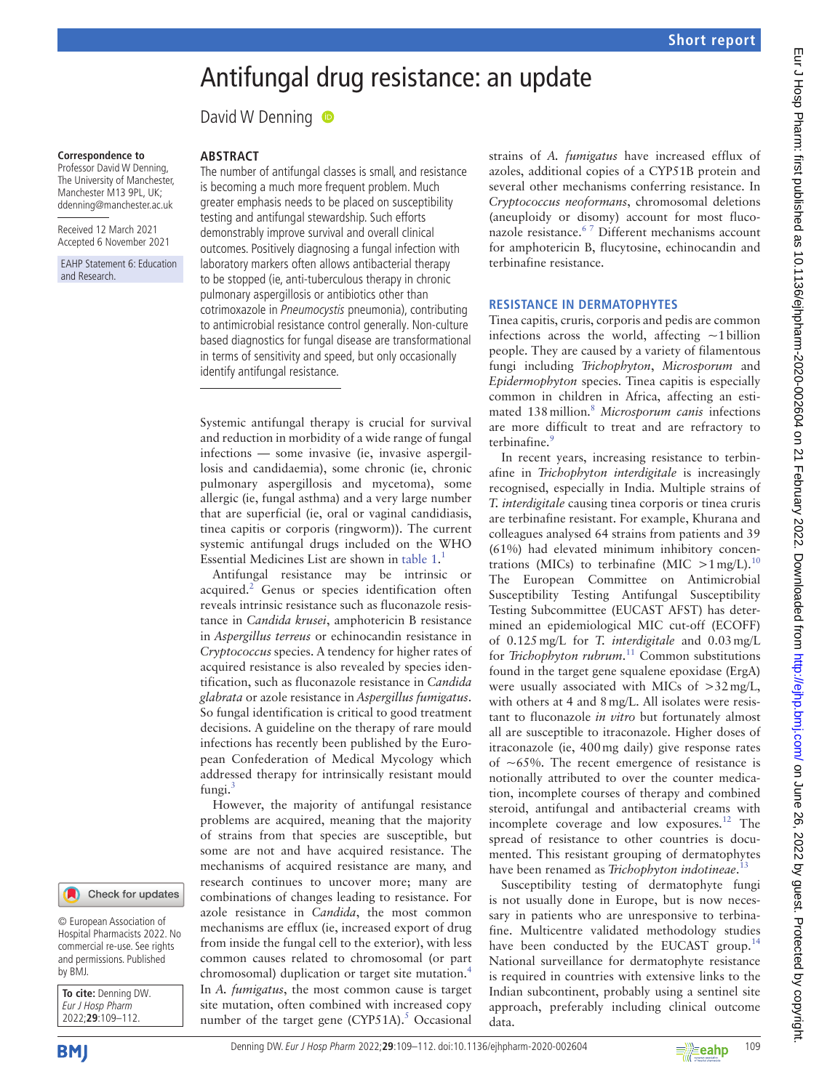# Antifungal drug resistance: an update

David W Denning  $\bullet$ 

#### **Correspondence to**

Professor David W Denning, The University of Manchester, Manchester M13 9PL, UK; ddenning@manchester.ac.uk

Received 12 March 2021 Accepted 6 November 2021

EAHP Statement 6: Education and Research.

#### Check for updates

© European Association of Hospital Pharmacists 2022. No commercial re-use. See rights and permissions. Published by BMJ.

**To cite:** Denning DW. Eur J Hosp Pharm 2022;**29**:109–112.

**BMI** 

## **Abstract**

The number of antifungal classes is small, and resistance is becoming a much more frequent problem. Much greater emphasis needs to be placed on susceptibility testing and antifungal stewardship. Such efforts demonstrably improve survival and overall clinical outcomes. Positively diagnosing a fungal infection with laboratory markers often allows antibacterial therapy to be stopped (ie, anti-tuberculous therapy in chronic pulmonary aspergillosis or antibiotics other than cotrimoxazole in Pneumocystis pneumonia), contributing to antimicrobial resistance control generally. Non-culture based diagnostics for fungal disease are transformational in terms of sensitivity and speed, but only occasionally identify antifungal resistance.

Systemic antifungal therapy is crucial for survival and reduction in morbidity of a wide range of fungal infections — some invasive (ie, invasive aspergillosis and candidaemia), some chronic (ie, chronic pulmonary aspergillosis and mycetoma), some allergic (ie, fungal asthma) and a very large number that are superficial (ie, oral or vaginal candidiasis, tinea capitis or corporis (ringworm)). The current systemic antifungal drugs included on the WHO Essential Medicines List are shown in table 1. 1

Antifungal resistance may be intrinsic or acquired.<sup>2</sup> Genus or species identification often reveals intrinsic resistance such as fluconazole resistance in *Candida krusei*, amphotericin B resistance in *Aspergillus terreus* or echinocandin resistance in *Cryptococcus* species. A tendency for higher rates of acquired resistance is also revealed by species identification, such as fluconazole resistance in *Candida glabrata* or azole resistance in *Aspergillus fumigatus*. So fungal identification is critical to good treatment decisions. A guideline on the therapy of rare mould infections has recently been published by the European Confederation of Medical Mycology which addressed therapy for intrinsically resistant mould fungi.3

However, the majority of antifungal resistance problems are acquired, meaning that the majority of strains from that species are susceptible, but some are not and have acquired resistance. The mechanisms of acquired resistance are many, and research continues to uncover more; many are combinations of changes leading to resistance. For azole resistance in *Candida*, the most common mechanisms are efflux (ie, increased export of drug from inside the fungal cell to the exterior), with less common causes related to chromosomal (or part chromosomal) duplication or target site mutation.<sup>4</sup> In *A. fumigatus*, the most common cause is target site mutation, often combined with increased copy number of the target gene (CYP51A).<sup>5</sup> Occasional strains of *A. fumigatus* have increased efflux of azoles, additional copies of a CYP51B protein and several other mechanisms conferring resistance. In *Cryptococcus neoformans*, chromosomal deletions (aneuploidy or disomy) account for most fluconazole resistance.<sup>67</sup> Different mechanisms account for amphotericin B, flucytosine, echinocandin and terbinafine resistance.

### **Resistance in dermatophytes**

Tinea capitis, cruris, corporis and pedis are common infections across the world, affecting  $\sim$ 1 billion people. They are caused by a variety of filamentous fungi including *Trichophyton*, *Microsporum* and *Epidermophyton* species. Tinea capitis is especially common in children in Africa, affecting an estimated 138million.<sup>8</sup> *Microsporum canis* infections are more difficult to treat and are refractory to terbinafine.<sup>9</sup>

In recent years, increasing resistance to terbinafine in *Trichophyton interdigitale* is increasingly recognised, especially in India. Multiple strains of *T. interdigitale* causing tinea corporis or tinea cruris are terbinafine resistant. For example, Khurana and colleagues analysed 64 strains from patients and 39 (61%) had elevated minimum inhibitory concentrations (MICs) to terbinafine (MIC  $>1$  mg/L).<sup>10</sup> The European Committee on Antimicrobial Susceptibility Testing Antifungal Susceptibility Testing Subcommittee (EUCAST AFST) has determined an epidemiological MIC cut-off (ECOFF) of 0.125mg/L for *T. interdigitale* and 0.03mg/L for *Trichophyton rubrum*. 11 Common substitutions found in the target gene squalene epoxidase (ErgA) were usually associated with MICs of >32mg/L, with others at 4 and 8mg/L. All isolates were resistant to fluconazole *in vitro* but fortunately almost all are susceptible to itraconazole. Higher doses of itraconazole (ie, 400mg daily) give response rates of  $\sim 65\%$ . The recent emergence of resistance is notionally attributed to over the counter medication, incomplete courses of therapy and combined steroid, antifungal and antibacterial creams with incomplete coverage and low exposures.<sup>12</sup> The spread of resistance to other countries is documented. This resistant grouping of dermatophytes have been renamed as *Trichophyton indotineae*. 13

Susceptibility testing of dermatophyte fungi is not usually done in Europe, but is now necessary in patients who are unresponsive to terbinafine. Multicentre validated methodology studies have been conducted by the EUCAST group.<sup>14</sup> National surveillance for dermatophyte resistance is required in countries with extensive links to the Indian subcontinent, probably using a sentinel site approach, preferably including clinical outcome data.

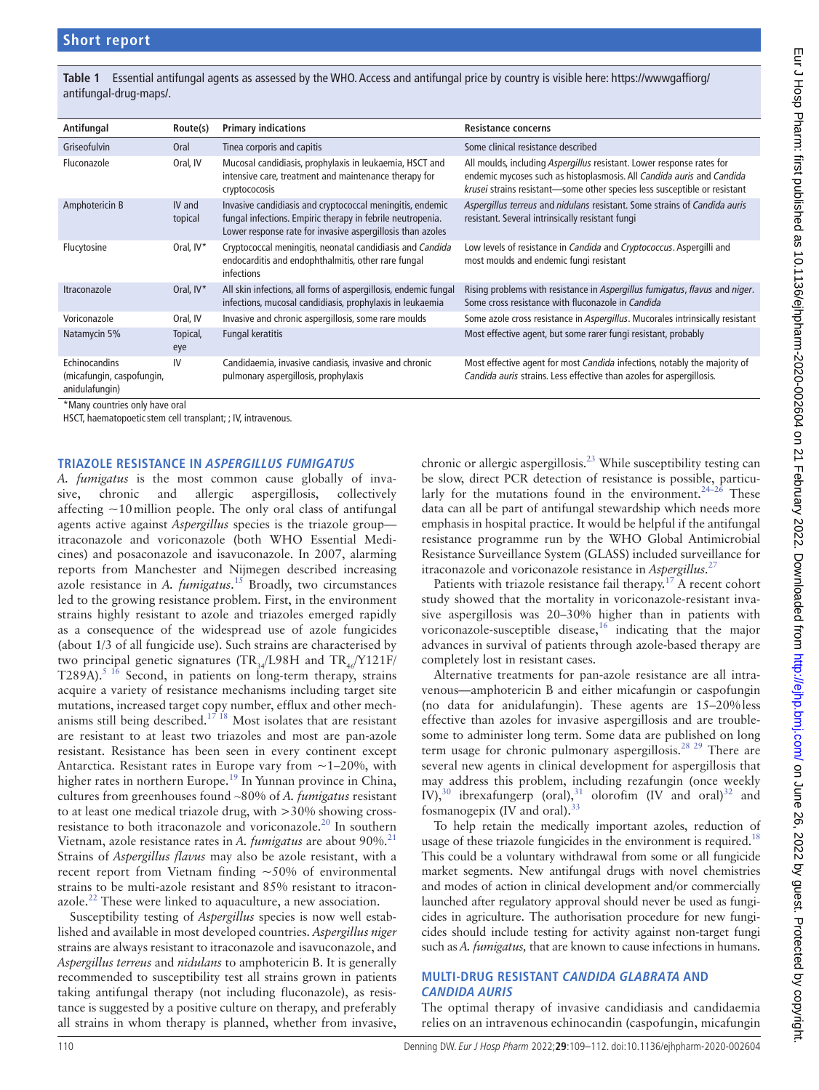**Table 1** Essential antifungal agents as assessed by the WHO. Access and antifungal price by country is visible here: https://wwwgaffiorg/ antifungal-drug-maps/.

| Antifungal                                                          | Route(s)          | <b>Primary indications</b>                                                                                                                                                            | <b>Resistance concerns</b>                                                                                                                                                                                                  |
|---------------------------------------------------------------------|-------------------|---------------------------------------------------------------------------------------------------------------------------------------------------------------------------------------|-----------------------------------------------------------------------------------------------------------------------------------------------------------------------------------------------------------------------------|
| Griseofulvin                                                        | Oral              | Tinea corporis and capitis                                                                                                                                                            | Some clinical resistance described                                                                                                                                                                                          |
| Fluconazole                                                         | Oral, IV          | Mucosal candidiasis, prophylaxis in leukaemia, HSCT and<br>intensive care, treatment and maintenance therapy for<br>cryptococosis                                                     | All moulds, including Aspergillus resistant. Lower response rates for<br>endemic mycoses such as histoplasmosis. All Candida auris and Candida<br>krusei strains resistant-some other species less susceptible or resistant |
| Amphotericin B                                                      | IV and<br>topical | Invasive candidiasis and cryptococcal meningitis, endemic<br>fungal infections. Empiric therapy in febrile neutropenia.<br>Lower response rate for invasive aspergillosis than azoles | Aspergillus terreus and nidulans resistant. Some strains of Candida auris<br>resistant. Several intrinsically resistant fungi                                                                                               |
| Flucytosine                                                         | Oral, IV*         | Cryptococcal meningitis, neonatal candidiasis and Candida<br>endocarditis and endophthalmitis, other rare fungal<br>infections                                                        | Low levels of resistance in <i>Candida</i> and <i>Cryptococcus</i> . Aspergilli and<br>most moulds and endemic fungi resistant                                                                                              |
| Itraconazole                                                        | Oral, IV*         | All skin infections, all forms of aspergillosis, endemic fungal<br>infections, mucosal candidiasis, prophylaxis in leukaemia                                                          | Rising problems with resistance in Aspergillus fumigatus, flavus and niger.<br>Some cross resistance with fluconazole in Candida                                                                                            |
| Voriconazole                                                        | Oral, IV          | Invasive and chronic aspergillosis, some rare moulds                                                                                                                                  | Some azole cross resistance in Aspergillus. Mucorales intrinsically resistant                                                                                                                                               |
| Natamycin 5%                                                        | Topical,<br>eye   | Fungal keratitis                                                                                                                                                                      | Most effective agent, but some rarer fungi resistant, probably                                                                                                                                                              |
| Echinocandins<br>(micafungin, caspofungin,<br>anidulafungin)<br>. . | IV                | Candidaemia, invasive candiasis, invasive and chronic<br>pulmonary aspergillosis, prophylaxis                                                                                         | Most effective agent for most Candida infections, notably the majority of<br>Candida auris strains. Less effective than azoles for aspergillosis.                                                                           |

\*Many countries only have oral

HSCT, haematopoeticstem cell transplant; ; IV, intravenous.

#### **Triazole resistance in Aspergillus fumigatus**

*A. fumigatus* is the most common cause globally of invasive, chronic and allergic aspergillosis, collectively affecting  $\sim$ 10 million people. The only oral class of antifungal agents active against *Aspergillus* species is the triazole group itraconazole and voriconazole (both WHO Essential Medicines) and posaconazole and isavuconazole. In 2007, alarming reports from Manchester and Nijmegen described increasing azole resistance in *A. fumigatus*. 15 Broadly, two circumstances led to the growing resistance problem. First, in the environment strains highly resistant to azole and triazoles emerged rapidly as a consequence of the widespread use of azole fungicides (about 1/3 of all fungicide use). Such strains are characterised by two principal genetic signatures (TR<sub>34</sub>/L98H and TR<sub>46</sub>/Y121F/ T289A).<sup>5 16</sup> Second, in patients on long-term therapy, strains acquire a variety of resistance mechanisms including target site mutations, increased target copy number, efflux and other mechanisms still being described.<sup>17 18</sup> Most isolates that are resistant are resistant to at least two triazoles and most are pan-azole resistant. Resistance has been seen in every continent except Antarctica. Resistant rates in Europe vary from  $\sim$  1–20%, with higher rates in northern Europe.<sup>19</sup> In Yunnan province in China, cultures from greenhouses found ~80% of *A. fumigatus* resistant to at least one medical triazole drug, with >30% showing crossresistance to both itraconazole and voriconazole.<sup>20</sup> In southern Vietnam, azole resistance rates in *A. fumigatus* are about 90%.<sup>21</sup> Strains of *Aspergillus flavus* may also be azole resistant, with a recent report from Vietnam finding ~50% of environmental strains to be multi-azole resistant and 85% resistant to itraconazole.<sup>22</sup> These were linked to aquaculture, a new association.

Susceptibility testing of *Aspergillus* species is now well established and available in most developed countries. *Aspergillus niger* strains are always resistant to itraconazole and isavuconazole, and *Aspergillus terreus* and *nidulans* to amphotericin B. It is generally recommended to susceptibility test all strains grown in patients taking antifungal therapy (not including fluconazole), as resistance is suggested by a positive culture on therapy, and preferably all strains in whom therapy is planned, whether from invasive,

chronic or allergic aspergillosis.<sup>23</sup> While susceptibility testing can be slow, direct PCR detection of resistance is possible, particularly for the mutations found in the environment.<sup>24–26</sup> These data can all be part of antifungal stewardship which needs more emphasis in hospital practice. It would be helpful if the antifungal resistance programme run by the WHO Global Antimicrobial Resistance Surveillance System (GLASS) included surveillance for itraconazole and voriconazole resistance in *Aspergillus*. 27

Patients with triazole resistance fail therapy.<sup>17</sup> A recent cohort study showed that the mortality in voriconazole-resistant invasive aspergillosis was 20–30% higher than in patients with voriconazole-susceptible disease,<sup>16</sup> indicating that the major advances in survival of patients through azole-based therapy are completely lost in resistant cases.

Alternative treatments for pan-azole resistance are all intravenous—amphotericin B and either micafungin or caspofungin (no data for anidulafungin). These agents are 15–20%less effective than azoles for invasive aspergillosis and are troublesome to administer long term. Some data are published on long term usage for chronic pulmonary aspergillosis.<sup>28</sup> <sup>29</sup> There are several new agents in clinical development for aspergillosis that may address this problem, including rezafungin (once weekly IV),<sup>30</sup> ibrexafungerp (oral),<sup>31</sup> olorofim (IV and oral)<sup>32</sup> and fosmanogepix (IV and oral).<sup>33</sup>

To help retain the medically important azoles, reduction of usage of these triazole fungicides in the environment is required.<sup>18</sup> This could be a voluntary withdrawal from some or all fungicide market segments. New antifungal drugs with novel chemistries and modes of action in clinical development and/or commercially launched after regulatory approval should never be used as fungicides in agriculture. The authorisation procedure for new fungicides should include testing for activity against non-target fungi such as *A. fumigatus,* that are known to cause infections in humans.

## **Multi-drug resistant Candida glabrata and Candida auris**

The optimal therapy of invasive candidiasis and candidaemia relies on an intravenous echinocandin (caspofungin, micafungin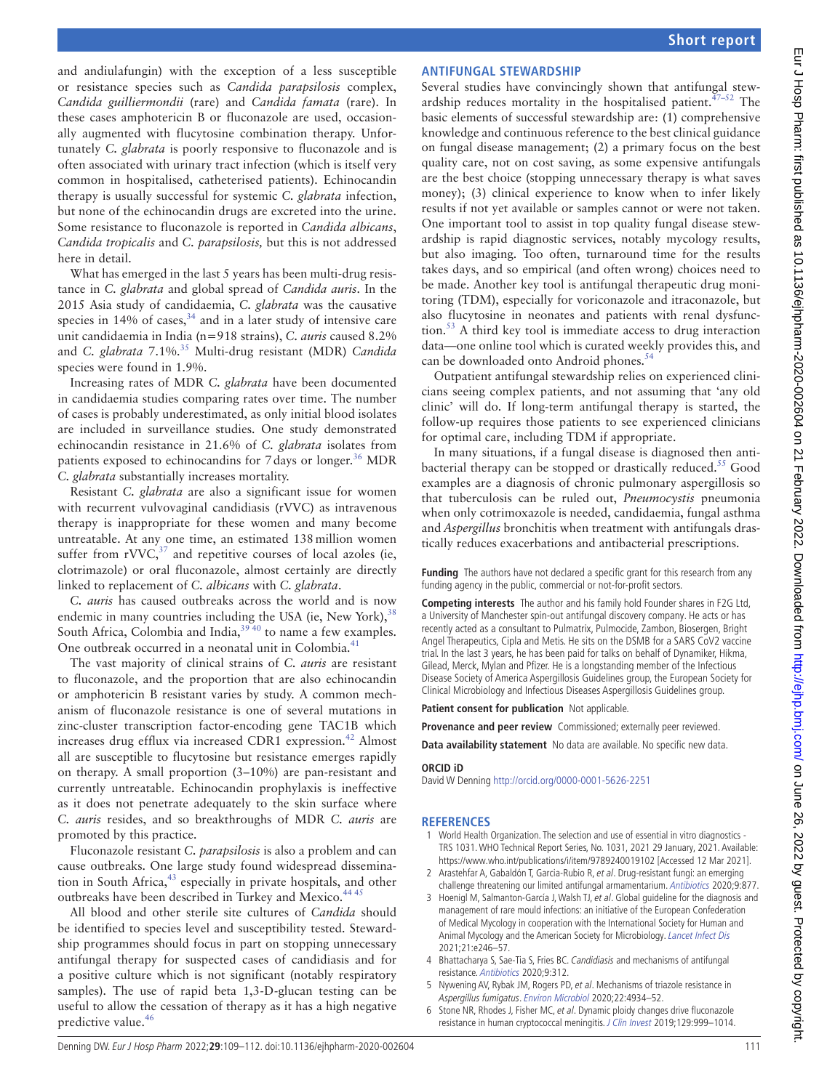and andiulafungin) with the exception of a less susceptible or resistance species such as *Candida parapsilosis* complex, *Candida guilliermondii* (rare) and *Candida famata* (rare). In these cases amphotericin B or fluconazole are used, occasionally augmented with flucytosine combination therapy. Unfortunately *C. glabrata* is poorly responsive to fluconazole and is often associated with urinary tract infection (which is itself very common in hospitalised, catheterised patients). Echinocandin therapy is usually successful for systemic *C. glabrata* infection, but none of the echinocandin drugs are excreted into the urine. Some resistance to fluconazole is reported in *Candida albicans*, *Candida tropicalis* and *C. parapsilosis,* but this is not addressed here in detail.

What has emerged in the last 5 years has been multi-drug resistance in *C. glabrata* and global spread of *Candida auris*. In the 2015 Asia study of candidaemia, *C. glabrata* was the causative species in  $14\%$  of cases,  $34$  and in a later study of intensive care unit candidaemia in India (n=918 strains), *C. auris* caused 8.2% and *C. glabrata* 7.1%.<sup>35</sup> Multi-drug resistant (MDR) *Candida* species were found in 1.9%.

Increasing rates of MDR *C. glabrata* have been documented in candidaemia studies comparing rates over time. The number of cases is probably underestimated, as only initial blood isolates are included in surveillance studies. One study demonstrated echinocandin resistance in 21.6% of *C. glabrata* isolates from patients exposed to echinocandins for 7 days or longer.<sup>36</sup> MDR *C. glabrata* substantially increases mortality.

Resistant *C. glabrata* are also a significant issue for women with recurrent vulvovaginal candidiasis (rVVC) as intravenous therapy is inappropriate for these women and many become untreatable. At any one time, an estimated 138million women suffer from  $\text{rVVC},^{37}$  and repetitive courses of local azoles (ie, clotrimazole) or oral fluconazole, almost certainly are directly linked to replacement of *C. albicans* with *C. glabrata*.

*C. auris* has caused outbreaks across the world and is now endemic in many countries including the USA (ie, New York),  $38$ South Africa, Colombia and India,  $39\frac{9}{40}$  to name a few examples. One outbreak occurred in a neonatal unit in Colombia.<sup>41</sup>

The vast majority of clinical strains of *C. auris* are resistant to fluconazole, and the proportion that are also echinocandin or amphotericin B resistant varies by study. A common mechanism of fluconazole resistance is one of several mutations in zinc-cluster transcription factor-encoding gene TAC1B which increases drug efflux via increased CDR1 expression.<sup>42</sup> Almost all are susceptible to flucytosine but resistance emerges rapidly on therapy. A small proportion (3–10%) are pan-resistant and currently untreatable. Echinocandin prophylaxis is ineffective as it does not penetrate adequately to the skin surface where *C. auris* resides, and so breakthroughs of MDR *C. auris* are promoted by this practice.

Fluconazole resistant *C. parapsilosis* is also a problem and can cause outbreaks. One large study found widespread dissemination in South Africa,<sup>43</sup> especially in private hospitals, and other outbreaks have been described in Turkey and Mexico.<sup>444</sup>

All blood and other sterile site cultures of *Candida* should be identified to species level and susceptibility tested. Stewardship programmes should focus in part on stopping unnecessary antifungal therapy for suspected cases of candidiasis and for a positive culture which is not significant (notably respiratory samples). The use of rapid beta 1,3-D-glucan testing can be useful to allow the cessation of therapy as it has a high negative predictive value.<sup>46</sup>

# **Antifungal stewardship**

Several studies have convincingly shown that antifungal stewardship reduces mortality in the hospitalised patient. $47-52$  The basic elements of successful stewardship are: (1) comprehensive knowledge and continuous reference to the best clinical guidance on fungal disease management; (2) a primary focus on the best quality care, not on cost saving, as some expensive antifungals are the best choice (stopping unnecessary therapy is what saves money); (3) clinical experience to know when to infer likely results if not yet available or samples cannot or were not taken. One important tool to assist in top quality fungal disease stewardship is rapid diagnostic services, notably mycology results, but also imaging. Too often, turnaround time for the results takes days, and so empirical (and often wrong) choices need to be made. Another key tool is antifungal therapeutic drug monitoring (TDM), especially for voriconazole and itraconazole, but also flucytosine in neonates and patients with renal dysfunction.<sup>53</sup> A third key tool is immediate access to drug interaction data—one online tool which is curated weekly provides this, and can be downloaded onto Android phones.<sup>5</sup>

Outpatient antifungal stewardship relies on experienced clinicians seeing complex patients, and not assuming that 'any old clinic' will do. If long-term antifungal therapy is started, the follow-up requires those patients to see experienced clinicians for optimal care, including TDM if appropriate.

In many situations, if a fungal disease is diagnosed then antibacterial therapy can be stopped or drastically reduced.<sup>55</sup> Good examples are a diagnosis of chronic pulmonary aspergillosis so that tuberculosis can be ruled out, *Pneumocystis* pneumonia when only cotrimoxazole is needed, candidaemia, fungal asthma and *Aspergillus* bronchitis when treatment with antifungals drastically reduces exacerbations and antibacterial prescriptions.

**Funding** The authors have not declared a specific grant for this research from any funding agency in the public, commercial or not-for-profit sectors.

**Competing interests** The author and his family hold Founder shares in F2G Ltd, a University of Manchester spin-out antifungal discovery company. He acts or has recently acted as a consultant to Pulmatrix, Pulmocide, Zambon, Biosergen, Bright Angel Therapeutics, Cipla and Metis. He sits on the DSMB for a SARS CoV2 vaccine trial. In the last 3 years, he has been paid for talks on behalf of Dynamiker, Hikma, Gilead, Merck, Mylan and Pfizer. He is a longstanding member of the Infectious Disease Society of America Aspergillosis Guidelines group, the European Society for Clinical Microbiology and Infectious Diseases Aspergillosis Guidelines group.

**Patient consent for publication** Not applicable.

Provenance and peer review Commissioned; externally peer reviewed.

**Data availability statement** No data are available. No specific new data.

## **ORCID iD**

David W Denning http://orcid.org/0000-0001-5626-2251

## **References**

- 1 World Health Organization. The selection and use of essential in vitro diagnostics TRS 1031. WHO Technical Report Series, No. 1031, 2021 29 January, 2021. Available: https://www.who.int/publications/i/item/9789240019102 [Accessed 12 Mar 2021].
- 2 Arastehfar A, Gabaldón T, Garcia-Rubio R, et al. Drug-resistant fungi: an emerging challenge threatening our limited antifungal armamentarium. Antibiotics 2020;9:877.
- 3 Hoenigl M, Salmanton-García J, Walsh TJ, et al. Global guideline for the diagnosis and management of rare mould infections: an initiative of the European Confederation of Medical Mycology in cooperation with the International Society for Human and Animal Mycology and the American Society for Microbiology. Lancet Infect Dis 2021;21:e246–57.
- 4 Bhattacharya S, Sae-Tia S, Fries BC. Candidiasis and mechanisms of antifungal resistance. Antibiotics 2020;9:312.
- 5 Nywening AV, Rybak JM, Rogers PD, et al. Mechanisms of triazole resistance in Aspergillus fumigatus. Environ Microbiol 2020;22:4934–52.
- 6 Stone NR, Rhodes J, Fisher MC, et al. Dynamic ploidy changes drive fluconazole resistance in human cryptococcal meningitis. J Clin Invest 2019;129:999–1014.